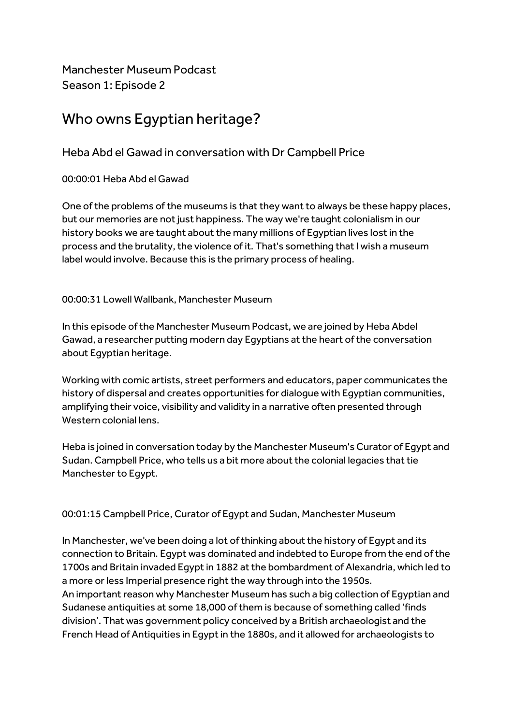Manchester Museum Podcast Season 1: Episode 2

# Who owns Egyptian heritage?

# Heba Abd el Gawad in conversation with Dr Campbell Price

00:00:01 Heba Abd el Gawad

One of the problems of the museums is that they want to always be these happy places, but our memories are not just happiness. The way we're taught colonialism in our history books we are taught about the many millions of Egyptian lives lost in the process and the brutality, the violence of it. That's something that I wish a museum label would involve. Because this is the primary process of healing.

00:00:31 Lowell Wallbank, Manchester Museum

In this episode of the Manchester Museum Podcast, we are joined by Heba Abdel Gawad, a researcher putting modern day Egyptians at the heart of the conversation about Egyptian heritage.

Working with comic artists, street performers and educators, paper communicates the history of dispersal and creates opportunities for dialogue with Egyptian communities, amplifying their voice, visibility and validity in a narrative often presented through Western colonial lens.

Heba is joined in conversation today by the Manchester Museum's Curator of Egypt and Sudan. Campbell Price, who tells us a bit more about the colonial legacies that tie Manchester to Egypt.

00:01:15 Campbell Price, Curator of Egypt and Sudan, Manchester Museum

In Manchester, we've been doing a lot of thinking about the history of Egypt and its connection to Britain. Egypt was dominated and indebted to Europe from the end of the 1700s and Britain invaded Egypt in 1882 at the bombardment of Alexandria, which led to a more or less Imperial presence right the way through into the 1950s. An important reason why Manchester Museum has such a big collection of Egyptian and Sudanese antiquities at some 18,000 of them is because of something called 'finds division'. That was government policy conceived by a British archaeologist and the French Head of Antiquities in Egypt in the 1880s, and it allowed for archaeologists to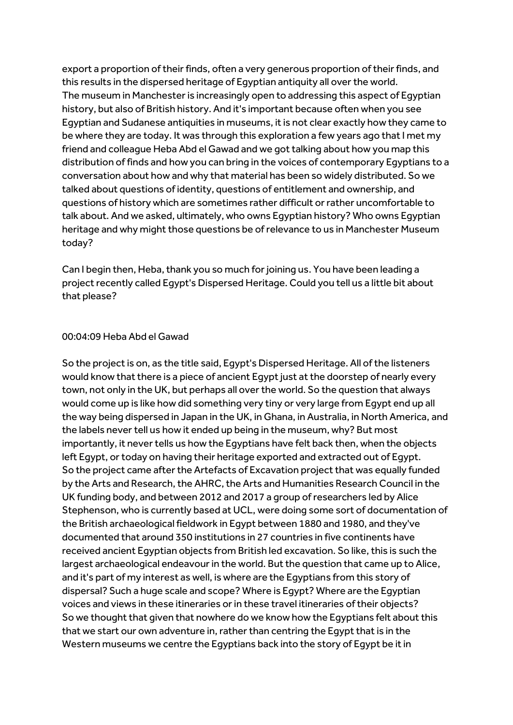export a proportion of their finds, often a very generous proportion of their finds, and this results in the dispersed heritage of Egyptian antiquity all over the world. The museum in Manchester is increasingly open to addressing this aspect of Egyptian history, but also of British history. And it's important because often when you see Egyptian and Sudanese antiquities in museums, it is not clear exactly how they came to be where they are today. It was through this exploration a few years ago that I met my friend and colleague Heba Abd el Gawad and we got talking about how you map this distribution of finds and how you can bring in the voices of contemporary Egyptians to a conversation about how and why that material has been so widely distributed. So we talked about questions of identity, questions of entitlement and ownership, and questions of history which are sometimes rather difficult or rather uncomfortable to talk about. And we asked, ultimately, who owns Egyptian history? Who owns Egyptian heritage and why might those questions be of relevance to us in Manchester Museum today?

Can I begin then, Heba, thank you so much for joining us. You have been leading a project recently called Egypt's Dispersed Heritage. Could you tell us a little bit about that please?

#### 00:04:09 Heba Abd el Gawad

So the project is on, as the title said, Egypt's Dispersed Heritage. All of the listeners would know that there is a piece of ancient Egypt just at the doorstep of nearly every town, not only in the UK, but perhaps all over the world. So the question that always would come up is like how did something very tiny or very large from Egypt end up all the way being dispersed in Japan in the UK, in Ghana, in Australia, in North America, and the labels never tell us how it ended up being in the museum, why? But most importantly, it never tells us how the Egyptians have felt back then, when the objects left Egypt, or today on having their heritage exported and extracted out of Egypt. So the project came after the Artefacts of Excavation project that was equally funded by the Arts and Research, the AHRC, the Arts and Humanities Research Council in the UK funding body, and between 2012 and 2017 a group of researchers led by Alice Stephenson, who is currently based at UCL, were doing some sort of documentation of the British archaeological fieldwork in Egypt between 1880 and 1980, and they've documented that around 350 institutions in 27 countries in five continents have received ancient Egyptian objects from British led excavation. So like, this is such the largest archaeological endeavour in the world. But the question that came up to Alice, and it's part of my interest as well, is where are the Egyptians from this story of dispersal? Such a huge scale and scope? Where is Egypt? Where are the Egyptian voices and views in these itineraries or in these travel itineraries of their objects? So we thought that given that nowhere do we know how the Egyptians felt about this that we start our own adventure in, rather than centring the Egypt that is in the Western museums we centre the Egyptians back into the story of Egypt be it in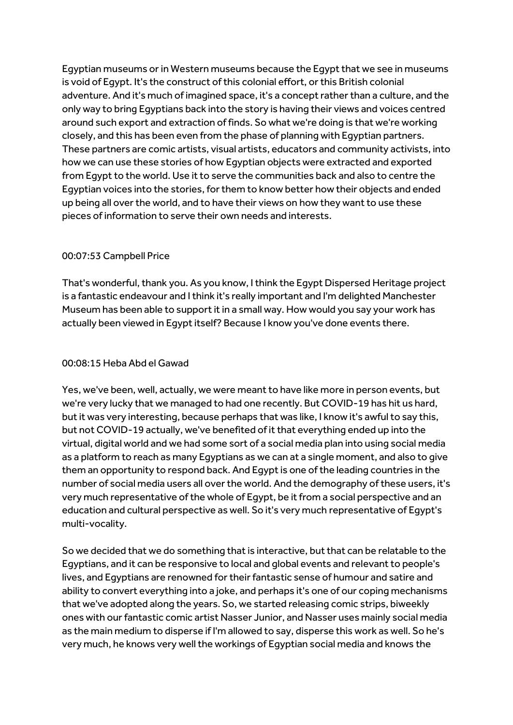Egyptian museums or in Western museums because the Egypt that we see in museums is void of Egypt. It's the construct of this colonial effort, or this British colonial adventure. And it's much of imagined space, it's a concept rather than a culture, and the only way to bring Egyptians back into the story is having their views and voices centred around such export and extraction of finds. So what we're doing is that we're working closely, and this has been even from the phase of planning with Egyptian partners. These partners are comic artists, visual artists, educators and community activists, into how we can use these stories of how Egyptian objects were extracted and exported from Egypt to the world. Use it to serve the communities back and also to centre the Egyptian voices into the stories, for them to know better how their objects and ended up being all over the world, and to have their views on how they want to use these pieces of information to serve their own needs and interests.

# 00:07:53 Campbell Price

That's wonderful, thank you. As you know, I think the Egypt Dispersed Heritage project is a fantastic endeavour and I think it's really important and I'm delighted Manchester Museum has been able to support it in a small way. How would you say your work has actually been viewed in Egypt itself? Because I know you've done events there.

#### 00:08:15 Heba Abd el Gawad

Yes, we've been, well, actually, we were meant to have like more in person events, but we're very lucky that we managed to had one recently. But COVID-19 has hit us hard, but it was very interesting, because perhaps that was like, I know it's awful to say this, but not COVID-19 actually, we've benefited of it that everything ended up into the virtual, digital world and we had some sort of a social media plan into using social media as a platform to reach as many Egyptians as we can at a single moment, and also to give them an opportunity to respond back. And Egypt is one of the leading countries in the number of social media users all over the world. And the demography of these users, it's very much representative of the whole of Egypt, be it from a social perspective and an education and cultural perspective as well. So it's very much representative of Egypt's multi-vocality.

So we decided that we do something that is interactive, but that can be relatable to the Egyptians, and it can be responsive to local and global events and relevant to people's lives, and Egyptians are renowned for their fantastic sense of humour and satire and ability to convert everything into a joke, and perhaps it's one of our coping mechanisms that we've adopted along the years. So, we started releasing comic strips, biweekly ones with our fantastic comic artist Nasser Junior, and Nasser uses mainly social media as the main medium to disperse if I'm allowed to say, disperse this work as well. So he's very much, he knows very well the workings of Egyptian social media and knows the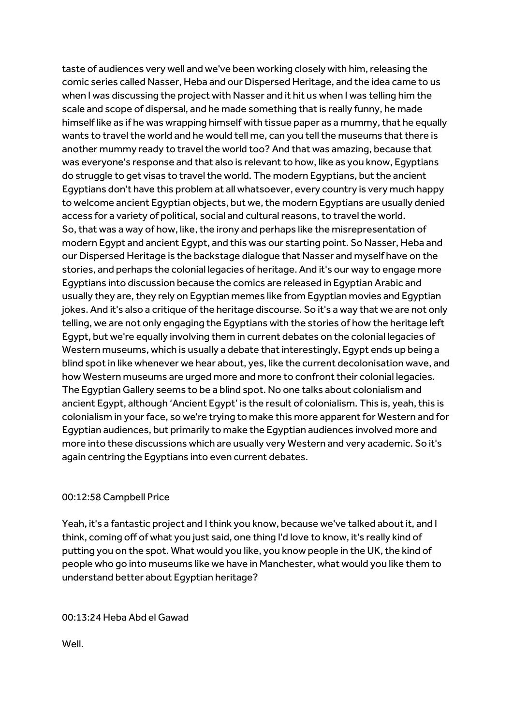taste of audiences very well and we've been working closely with him, releasing the comic series called Nasser, Heba and our Dispersed Heritage, and the idea came to us when I was discussing the project with Nasser and it hit us when I was telling him the scale and scope of dispersal, and he made something that is really funny, he made himself like as if he was wrapping himself with tissue paper as a mummy, that he equally wants to travel the world and he would tell me, can you tell the museums that there is another mummy ready to travel the world too? And that was amazing, because that was everyone's response and that also is relevant to how, like as you know, Egyptians do struggle to get visas to travel the world. The modern Egyptians, but the ancient Egyptians don't have this problem at all whatsoever, every country is very much happy to welcome ancient Egyptian objects, but we, the modern Egyptians are usually denied access for a variety of political, social and cultural reasons, to travel the world. So, that was a way of how, like, the irony and perhaps like the misrepresentation of modern Egypt and ancient Egypt, and this was our starting point. So Nasser, Heba and our Dispersed Heritage is the backstage dialogue that Nasser and myself have on the stories, and perhaps the colonial legacies of heritage. And it's our way to engage more Egyptians into discussion because the comics are released in Egyptian Arabic and usually they are, they rely on Egyptian memes like from Egyptian movies and Egyptian jokes. And it's also a critique of the heritage discourse. So it's a way that we are not only telling, we are not only engaging the Egyptians with the stories of how the heritage left Egypt, but we're equally involving them in current debates on the colonial legacies of Western museums, which is usually a debate that interestingly, Egypt ends up being a blind spot in like whenever we hear about, yes, like the current decolonisation wave, and how Western museums are urged more and more to confront their colonial legacies. The Egyptian Gallery seems to be a blind spot. No one talks about colonialism and ancient Egypt, although 'Ancient Egypt' is the result of colonialism. This is, yeah, this is colonialism in your face, so we're trying to make this more apparent for Western and for Egyptian audiences, but primarily to make the Egyptian audiences involved more and more into these discussions which are usually very Western and very academic. So it's again centring the Egyptians into even current debates.

#### 00:12:58 Campbell Price

Yeah, it's a fantastic project and I think you know, because we've talked about it, and I think, coming off of what you just said, one thing I'd love to know, it's really kind of putting you on the spot. What would you like, you know people in the UK, the kind of people who go into museums like we have in Manchester, what would you like them to understand better about Egyptian heritage?

### 00:13:24 Heba Abd el Gawad

Well.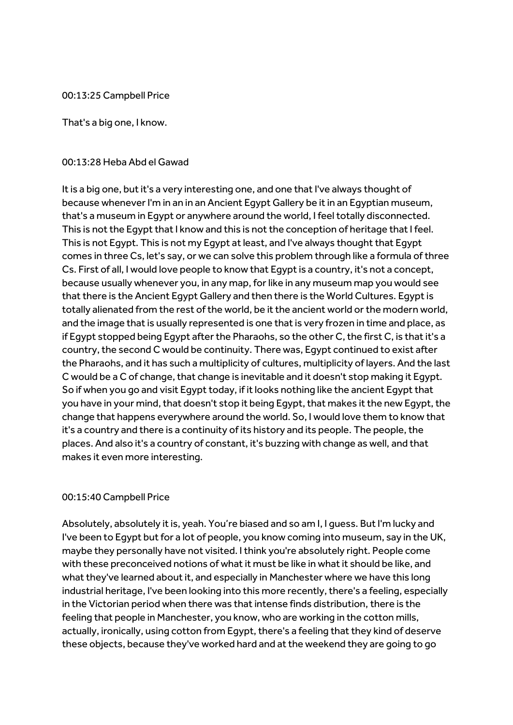00:13:25 Campbell Price

That's a big one, I know.

#### 00:13:28 Heba Abd el Gawad

It is a big one, but it's a very interesting one, and one that I've always thought of because whenever I'm in an in an Ancient Egypt Gallery be it in an Egyptian museum, that's a museum in Egypt or anywhere around the world, I feel totally disconnected. This is not the Egypt that I know and this is not the conception of heritage that I feel. This is not Egypt. This is not my Egypt at least, and I've always thought that Egypt comes in three Cs, let's say, or we can solve this problem through like a formula of three Cs. First of all, I would love people to know that Egypt is a country, it's not a concept, because usually whenever you, in any map, for like in any museum map you would see that there is the Ancient Egypt Gallery and then there is the World Cultures. Egypt is totally alienated from the rest of the world, be it the ancient world or the modern world, and the image that is usually represented is one that is very frozen in time and place, as if Egypt stopped being Egypt after the Pharaohs, so the other C, the first C, is that it's a country, the second C would be continuity. There was, Egypt continued to exist after the Pharaohs, and it has such a multiplicity of cultures, multiplicity of layers. And the last C would be a C of change, that change is inevitable and it doesn't stop making it Egypt. So if when you go and visit Egypt today, if it looks nothing like the ancient Egypt that you have in your mind, that doesn't stop it being Egypt, that makes it the new Egypt, the change that happens everywhere around the world. So, I would love them to know that it's a country and there is a continuity of its history and its people. The people, the places. And also it's a country of constant, it's buzzing with change as well, and that makes it even more interesting.

#### 00:15:40 Campbell Price

Absolutely, absolutely it is, yeah. You're biased and so am I, I quess. But I'm lucky and I've been to Egypt but for a lot of people, you know coming into museum, say in the UK, maybe they personally have not visited. I think you're absolutely right. People come with these preconceived notions of what it must be like in what it should be like, and what they've learned about it, and especially in Manchester where we have this long industrial heritage, I've been looking into this more recently, there's a feeling, especially in the Victorian period when there was that intense finds distribution, there is the feeling that people in Manchester, you know, who are working in the cotton mills, actually, ironically, using cotton from Egypt, there's a feeling that they kind of deserve these objects, because they've worked hard and at the weekend they are going to go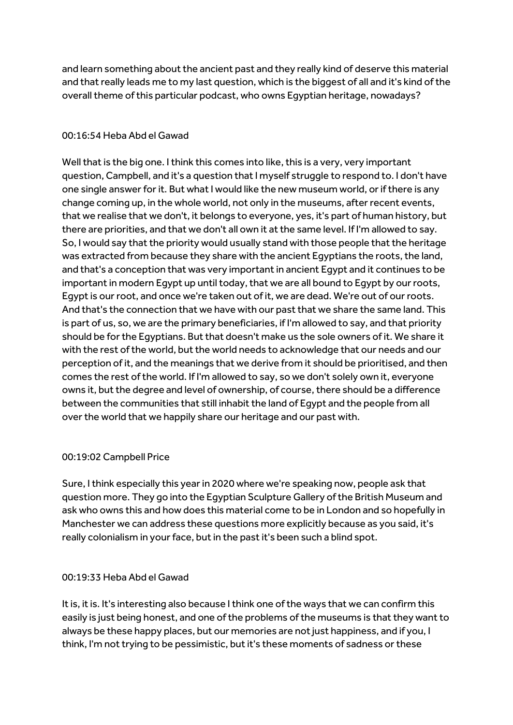and learn something about the ancient past and they really kind of deserve this material and that really leads me to my last question, which is the biggest of all and it's kind of the overall theme of this particular podcast, who owns Egyptian heritage, nowadays?

## 00:16:54 Heba Abd el Gawad

Well that is the big one. I think this comes into like, this is a very, very important question, Campbell, and it's a question that I myself struggle to respond to. I don't have one single answer for it. But what I would like the new museum world, or if there is any change coming up, in the whole world, not only in the museums, after recent events, that we realise that we don't, it belongs to everyone, yes, it's part of human history, but there are priorities, and that we don't all own it at the same level. If I'm allowed to say. So, I would say that the priority would usually stand with those people that the heritage was extracted from because they share with the ancient Egyptians the roots, the land, and that's a conception that was very important in ancient Egypt and it continues to be important in modern Egypt up until today, that we are all bound to Egypt by our roots, Egypt is our root, and once we're taken out of it, we are dead. We're out of our roots. And that's the connection that we have with our past that we share the same land. This is part of us, so, we are the primary beneficiaries, if I'm allowed to say, and that priority should be for the Egyptians. But that doesn't make us the sole owners of it. We share it with the rest of the world, but the world needs to acknowledge that our needs and our perception of it, and the meanings that we derive from it should be prioritised, and then comes the rest of the world. If I'm allowed to say, so we don't solely own it, everyone owns it, but the degree and level of ownership, of course, there should be a difference between the communities that still inhabit the land of Egypt and the people from all over the world that we happily share our heritage and our past with.

#### 00:19:02 Campbell Price

Sure, I think especially this year in 2020 where we're speaking now, people ask that question more. They go into the Egyptian Sculpture Gallery of the British Museum and ask who owns this and how does this material come to be in London and so hopefully in Manchester we can address these questions more explicitly because as you said, it's really colonialism in your face, but in the past it's been such a blind spot.

#### 00:19:33 Heba Abd el Gawad

It is, it is. It's interesting also because I think one of the ways that we can confirm this easily is just being honest, and one of the problems of the museums is that they want to always be these happy places, but our memories are not just happiness, and if you, I think, I'm not trying to be pessimistic, but it's these moments of sadness or these